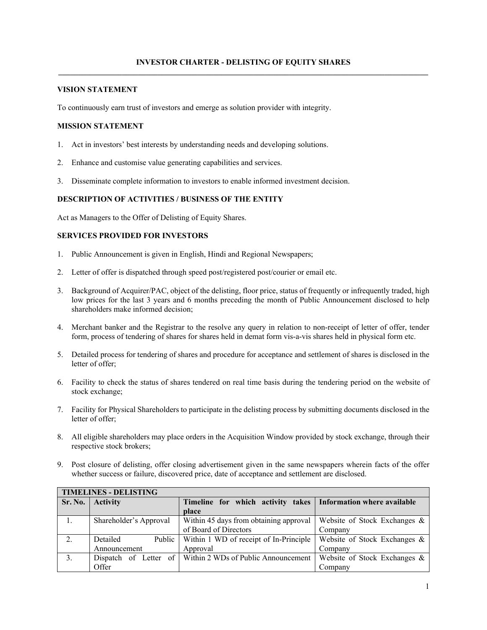# **VISION STATEMENT**

To continuously earn trust of investors and emerge as solution provider with integrity.

### **MISSION STATEMENT**

- 1. Act in investors' best interests by understanding needs and developing solutions.
- 2. Enhance and customise value generating capabilities and services.
- 3. Disseminate complete information to investors to enable informed investment decision.

# **DESCRIPTION OF ACTIVITIES / BUSINESS OF THE ENTITY**

Act as Managers to the Offer of Delisting of Equity Shares.

# **SERVICES PROVIDED FOR INVESTORS**

- 1. Public Announcement is given in English, Hindi and Regional Newspapers;
- 2. Letter of offer is dispatched through speed post/registered post/courier or email etc.
- 3. Background of Acquirer/PAC, object of the delisting, floor price, status of frequently or infrequently traded, high low prices for the last 3 years and 6 months preceding the month of Public Announcement disclosed to help shareholders make informed decision;
- 4. Merchant banker and the Registrar to the resolve any query in relation to non-receipt of letter of offer, tender form, process of tendering of shares for shares held in demat form vis-a-vis shares held in physical form etc.
- 5. Detailed process for tendering of shares and procedure for acceptance and settlement of shares is disclosed in the letter of offer;
- 6. Facility to check the status of shares tendered on real time basis during the tendering period on the website of stock exchange;
- 7. Facility for Physical Shareholders to participate in the delisting process by submitting documents disclosed in the letter of offer;
- 8. All eligible shareholders may place orders in the Acquisition Window provided by stock exchange, through their respective stock brokers;
- 9. Post closure of delisting, offer closing advertisement given in the same newspapers wherein facts of the offer whether success or failure, discovered price, date of acceptance and settlement are disclosed.

| <b>TIMELINES - DELISTING</b> |                        |                                                                 |                                 |  |  |  |
|------------------------------|------------------------|-----------------------------------------------------------------|---------------------------------|--|--|--|
| Sr. No.                      | <b>Activity</b>        | Timeline for which activity takes   Information where available |                                 |  |  |  |
|                              |                        | place                                                           |                                 |  |  |  |
|                              | Shareholder's Approval | Within 45 days from obtaining approval                          | Website of Stock Exchanges $\&$ |  |  |  |
|                              |                        | of Board of Directors                                           | Company                         |  |  |  |
| 2.                           | Detailed               | Public   Within 1 WD of receipt of In-Principle                 | Website of Stock Exchanges $\&$ |  |  |  |
|                              | Announcement           | Approval                                                        | Company                         |  |  |  |
| 3.                           |                        | Dispatch of Letter of Within 2 WDs of Public Announcement       | Website of Stock Exchanges $\&$ |  |  |  |
|                              | Offer                  |                                                                 | Company                         |  |  |  |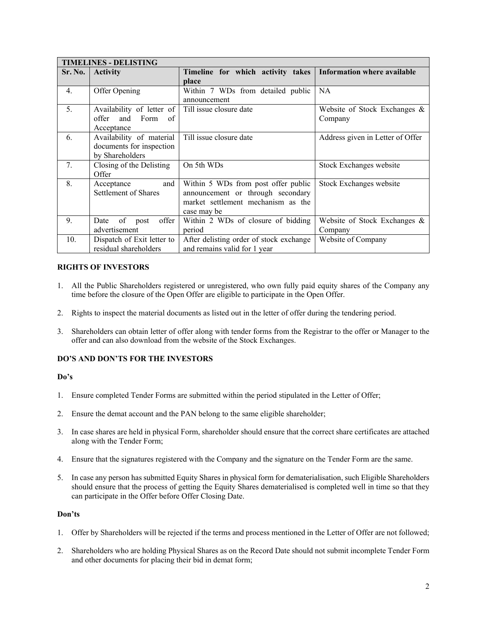| <b>TIMELINES - DELISTING</b> |                             |                                         |                                  |  |  |  |
|------------------------------|-----------------------------|-----------------------------------------|----------------------------------|--|--|--|
| Sr. No.                      | <b>Activity</b>             | Timeline for which activity takes       | Information where available      |  |  |  |
|                              |                             | place                                   |                                  |  |  |  |
| 4.                           | Offer Opening               | Within 7 WDs from detailed public       | NA                               |  |  |  |
|                              |                             | announcement                            |                                  |  |  |  |
| 5.                           | Availability of letter of   | Till issue closure date                 | Website of Stock Exchanges $\&$  |  |  |  |
|                              | offer<br>Form<br>and<br>of  |                                         | Company                          |  |  |  |
|                              | Acceptance                  |                                         |                                  |  |  |  |
| 6.                           | Availability of material    | Till issue closure date                 | Address given in Letter of Offer |  |  |  |
|                              | documents for inspection    |                                         |                                  |  |  |  |
|                              | by Shareholders             |                                         |                                  |  |  |  |
| 7.                           | Closing of the Delisting    | On 5th WDs                              | Stock Exchanges website          |  |  |  |
|                              | Offer                       |                                         |                                  |  |  |  |
| 8.                           | and<br>Acceptance           | Within 5 WDs from post offer public     | Stock Exchanges website          |  |  |  |
|                              | <b>Settlement of Shares</b> | announcement or through secondary       |                                  |  |  |  |
|                              |                             | market settlement mechanism as the      |                                  |  |  |  |
|                              |                             | case may be                             |                                  |  |  |  |
| 9.                           | of<br>offer<br>Date<br>post | Within 2 WDs of closure of bidding      | Website of Stock Exchanges $\&$  |  |  |  |
|                              | advertisement               | period                                  | Company                          |  |  |  |
| 10.                          | Dispatch of Exit letter to  | After delisting order of stock exchange | Website of Company               |  |  |  |
|                              | residual shareholders       | and remains valid for 1 year            |                                  |  |  |  |

# **RIGHTS OF INVESTORS**

- 1. All the Public Shareholders registered or unregistered, who own fully paid equity shares of the Company any time before the closure of the Open Offer are eligible to participate in the Open Offer.
- 2. Rights to inspect the material documents as listed out in the letter of offer during the tendering period.
- 3. Shareholders can obtain letter of offer along with tender forms from the Registrar to the offer or Manager to the offer and can also download from the website of the Stock Exchanges.

### **DO'S AND DON'TS FOR THE INVESTORS**

### **Do's**

- 1. Ensure completed Tender Forms are submitted within the period stipulated in the Letter of Offer;
- 2. Ensure the demat account and the PAN belong to the same eligible shareholder;
- 3. In case shares are held in physical Form, shareholder should ensure that the correct share certificates are attached along with the Tender Form;
- 4. Ensure that the signatures registered with the Company and the signature on the Tender Form are the same.
- 5. In case any person has submitted Equity Shares in physical form for dematerialisation, such Eligible Shareholders should ensure that the process of getting the Equity Shares dematerialised is completed well in time so that they can participate in the Offer before Offer Closing Date.

### **Don'ts**

- 1. Offer by Shareholders will be rejected if the terms and process mentioned in the Letter of Offer are not followed;
- 2. Shareholders who are holding Physical Shares as on the Record Date should not submit incomplete Tender Form and other documents for placing their bid in demat form;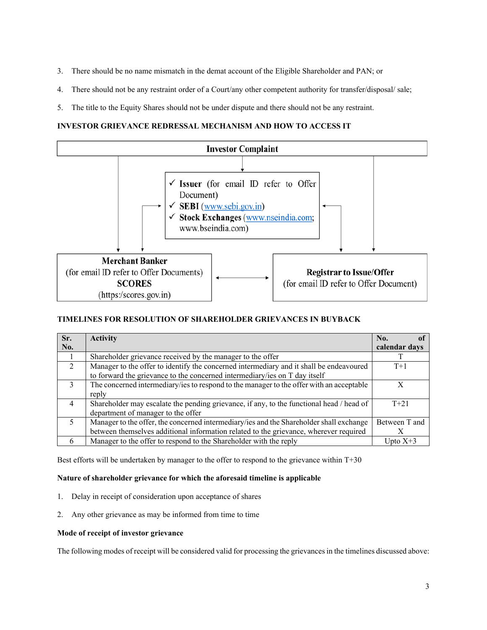- 3. There should be no name mismatch in the demat account of the Eligible Shareholder and PAN; or
- 4. There should not be any restraint order of a Court/any other competent authority for transfer/disposal/ sale;
- 5. The title to the Equity Shares should not be under dispute and there should not be any restraint.

# **INVESTOR GRIEVANCE REDRESSAL MECHANISM AND HOW TO ACCESS IT**



# **TIMELINES FOR RESOLUTION OF SHAREHOLDER GRIEVANCES IN BUYBACK**

| Sr.            | <b>Activity</b>                                                                          | No.           |
|----------------|------------------------------------------------------------------------------------------|---------------|
| No.            |                                                                                          | calendar days |
|                | Shareholder grievance received by the manager to the offer                               |               |
| $\overline{2}$ | Manager to the offer to identify the concerned intermediary and it shall be endeavoured  | $T+1$         |
|                | to forward the grievance to the concerned intermediary/ies on T day itself               |               |
| $\mathcal{E}$  | The concerned intermediary/ies to respond to the manager to the offer with an acceptable |               |
|                | reply                                                                                    |               |
| 4              | Shareholder may escalate the pending grievance, if any, to the functional head / head of | $T + 21$      |
|                | department of manager to the offer                                                       |               |
| .5             | Manager to the offer, the concerned intermediary/ies and the Shareholder shall exchange  | Between T and |
|                | between themselves additional information related to the grievance, wherever required    |               |
| 6              | Manager to the offer to respond to the Shareholder with the reply                        | Upto $X+3$    |

Best efforts will be undertaken by manager to the offer to respond to the grievance within T+30

### **Nature of shareholder grievance for which the aforesaid timeline is applicable**

- 1. Delay in receipt of consideration upon acceptance of shares
- 2. Any other grievance as may be informed from time to time

#### **Mode of receipt of investor grievance**

The following modes of receipt will be considered valid for processing the grievances in the timelines discussed above: